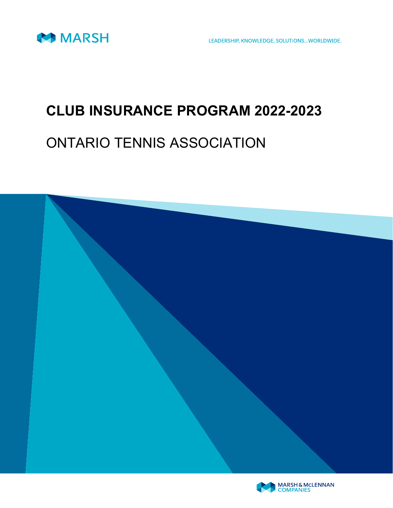

LEADERSHIP, KNOWLEDGE, SOLUTIONS...WORLDWIDE.

## CLUB INSURANCE PROGRAM 2022-2023

## ONTARIO TENNIS ASSOCIATION



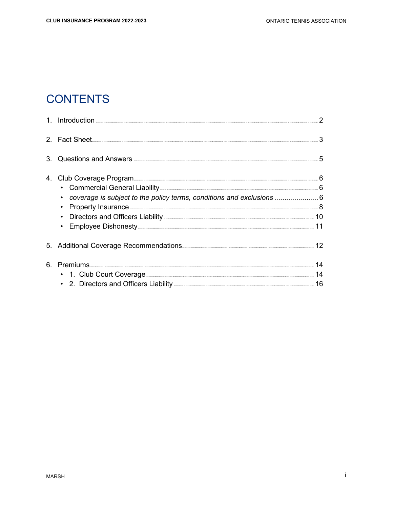## **CONTENTS**

| 4. |                                                                                    |  |
|----|------------------------------------------------------------------------------------|--|
|    |                                                                                    |  |
|    | coverage is subject to the policy terms, conditions and exclusions  6<br>$\bullet$ |  |
|    | $\bullet$                                                                          |  |
|    | $\bullet$                                                                          |  |
|    |                                                                                    |  |
|    |                                                                                    |  |
|    |                                                                                    |  |
|    |                                                                                    |  |
|    |                                                                                    |  |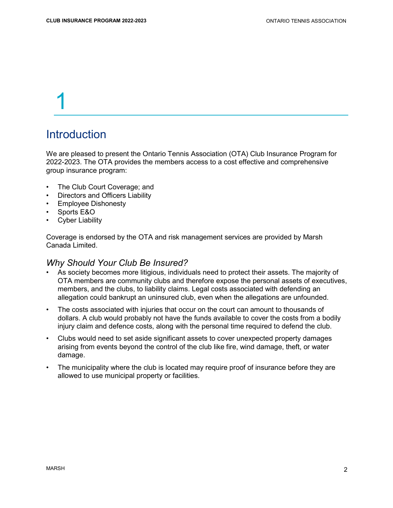## **Introduction**

We are pleased to present the Ontario Tennis Association (OTA) Club Insurance Program for 2022-2023. The OTA provides the members access to a cost effective and comprehensive group insurance program:

- The Club Court Coverage; and
- Directors and Officers Liability
- Employee Dishonesty
- Sports E&O
- **Cyber Liability**

Coverage is endorsed by the OTA and risk management services are provided by Marsh Canada Limited.

#### Why Should Your Club Be Insured?

- As society becomes more litigious, individuals need to protect their assets. The majority of OTA members are community clubs and therefore expose the personal assets of executives, members, and the clubs, to liability claims. Legal costs associated with defending an allegation could bankrupt an uninsured club, even when the allegations are unfounded.
- The costs associated with injuries that occur on the court can amount to thousands of dollars. A club would probably not have the funds available to cover the costs from a bodily injury claim and defence costs, along with the personal time required to defend the club.
- Clubs would need to set aside significant assets to cover unexpected property damages arising from events beyond the control of the club like fire, wind damage, theft, or water damage.
- The municipality where the club is located may require proof of insurance before they are allowed to use municipal property or facilities.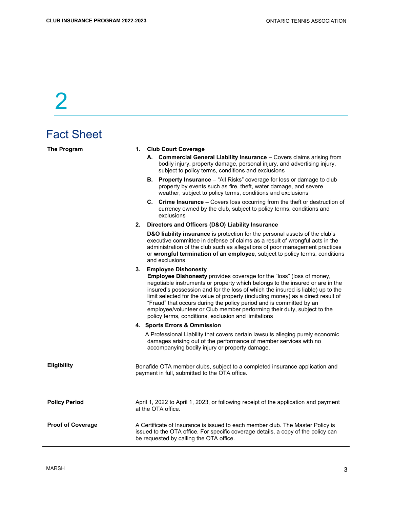| <b>Fact Sheet</b>        |    |                                                                                                                                                                                                                                                                                                                                                                                                                                                                                                                                                                                                        |
|--------------------------|----|--------------------------------------------------------------------------------------------------------------------------------------------------------------------------------------------------------------------------------------------------------------------------------------------------------------------------------------------------------------------------------------------------------------------------------------------------------------------------------------------------------------------------------------------------------------------------------------------------------|
| The Program              |    | 1. Club Court Coverage<br>A. Commercial General Liability Insurance - Covers claims arising from<br>bodily injury, property damage, personal injury, and advertising injury,<br>subject to policy terms, conditions and exclusions<br>B. Property Insurance - "All Risks" coverage for loss or damage to club<br>property by events such as fire, theft, water damage, and severe<br>weather, subject to policy terms, conditions and exclusions<br>C. Crime Insurance - Covers loss occurring from the theft or destruction of<br>currency owned by the club, subject to policy terms, conditions and |
|                          | 2. | exclusions<br>Directors and Officers (D&O) Liability Insurance                                                                                                                                                                                                                                                                                                                                                                                                                                                                                                                                         |
|                          |    | D&O liability insurance is protection for the personal assets of the club's<br>executive committee in defense of claims as a result of wrongful acts in the<br>administration of the club such as allegations of poor management practices<br>or wrongful termination of an employee, subject to policy terms, conditions<br>and exclusions.                                                                                                                                                                                                                                                           |
|                          |    | 3. Employee Dishonesty<br>Employee Dishonesty provides coverage for the "loss" (loss of money,<br>negotiable instruments or property which belongs to the insured or are in the<br>insured's possession and for the loss of which the insured is liable) up to the<br>limit selected for the value of property (including money) as a direct result of<br>"Fraud" that occurs during the policy period and is committed by an<br>employee/volunteer or Club member performing their duty, subject to the<br>policy terms, conditions, exclusion and limitations                                        |
|                          |    | 4. Sports Errors & Ommission                                                                                                                                                                                                                                                                                                                                                                                                                                                                                                                                                                           |
|                          |    | A Professional Liability that covers certain lawsuits alleging purely economic<br>damages arising out of the performance of member services with no<br>accompanying bodily injury or property damage.                                                                                                                                                                                                                                                                                                                                                                                                  |
| <b>Eligibility</b>       |    | Bonafide OTA member clubs, subject to a completed insurance application and<br>payment in full, submitted to the OTA office.                                                                                                                                                                                                                                                                                                                                                                                                                                                                           |
| <b>Policy Period</b>     |    | April 1, 2022 to April 1, 2023, or following receipt of the application and payment<br>at the OTA office.                                                                                                                                                                                                                                                                                                                                                                                                                                                                                              |
| <b>Proof of Coverage</b> |    | A Certificate of Insurance is issued to each member club. The Master Policy is<br>issued to the OTA office. For specific coverage details, a copy of the policy can<br>be requested by calling the OTA office.                                                                                                                                                                                                                                                                                                                                                                                         |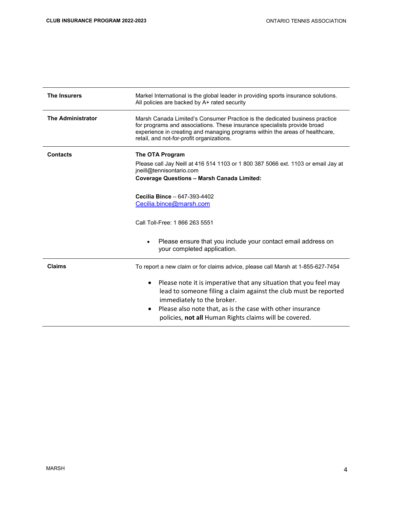| <b>The Insurers</b>      | Markel International is the global leader in providing sports insurance solutions.<br>All policies are backed by A+ rated security                                                                                                                                                                    |
|--------------------------|-------------------------------------------------------------------------------------------------------------------------------------------------------------------------------------------------------------------------------------------------------------------------------------------------------|
| <b>The Administrator</b> | Marsh Canada Limited's Consumer Practice is the dedicated business practice<br>for programs and associations. These insurance specialists provide broad<br>experience in creating and managing programs within the areas of healthcare,<br>retail, and not-for-profit organizations.                  |
| <b>Contacts</b>          | The OTA Program<br>Please call Jay Neill at 416 514 1103 or 1 800 387 5066 ext. 1103 or email Jay at<br>jneill@tennisontario.com<br><b>Coverage Questions - Marsh Canada Limited:</b>                                                                                                                 |
|                          | Cecilia Bince - 647-393-4402<br>Cecilia.bince@marsh.com                                                                                                                                                                                                                                               |
|                          | Call Toll-Free: 1 866 263 5551                                                                                                                                                                                                                                                                        |
|                          | Please ensure that you include your contact email address on<br>$\bullet$<br>your completed application.                                                                                                                                                                                              |
| <b>Claims</b>            | To report a new claim or for claims advice, please call Marsh at 1-855-627-7454                                                                                                                                                                                                                       |
|                          | Please note it is imperative that any situation that you feel may<br>٠<br>lead to someone filing a claim against the club must be reported<br>immediately to the broker.<br>Please also note that, as is the case with other insurance<br>٠<br>policies, not all Human Rights claims will be covered. |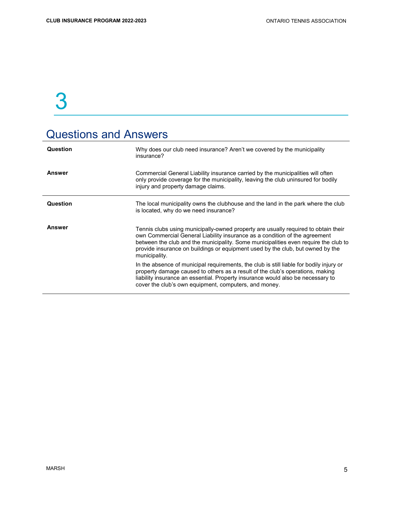## Questions and Answers

| Question      | Why does our club need insurance? Aren't we covered by the municipality<br>insurance?                                                                                                                                                                                                                                                                      |
|---------------|------------------------------------------------------------------------------------------------------------------------------------------------------------------------------------------------------------------------------------------------------------------------------------------------------------------------------------------------------------|
| Answer        | Commercial General Liability insurance carried by the municipalities will often<br>only provide coverage for the municipality, leaving the club uninsured for bodily<br>injury and property damage claims.                                                                                                                                                 |
| Question      | The local municipality owns the clubhouse and the land in the park where the club<br>is located, why do we need insurance?                                                                                                                                                                                                                                 |
| <b>Answer</b> | Tennis clubs using municipally-owned property are usually required to obtain their<br>own Commercial General Liability insurance as a condition of the agreement<br>between the club and the municipality. Some municipalities even require the club to<br>provide insurance on buildings or equipment used by the club, but owned by the<br>municipality. |
|               | In the absence of municipal requirements, the club is still liable for bodily injury or<br>property damage caused to others as a result of the club's operations, making<br>liability insurance an essential. Property insurance would also be necessary to<br>cover the club's own equipment, computers, and money.                                       |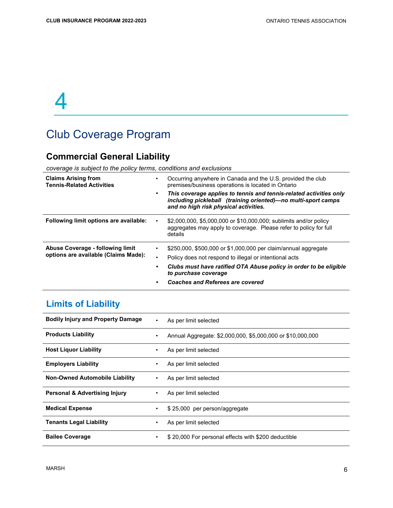## Club Coverage Program

### Commercial General Liability

coverage is subject to the policy terms, conditions and exclusions

| <b>Claims Arising from</b><br><b>Tennis-Related Activities</b>           | Occurring anywhere in Canada and the U.S. provided the club<br>premises/business operations is located in Ontario<br>This coverage applies to tennis and tennis-related activities only<br>including pickleball (training oriented)-no multi-sport camps<br>and no high risk physical activities. |
|--------------------------------------------------------------------------|---------------------------------------------------------------------------------------------------------------------------------------------------------------------------------------------------------------------------------------------------------------------------------------------------|
| Following limit options are available:                                   | \$2,000,000, \$5,000,000 or \$10,000,000; sublimits and/or policy<br>aggregates may apply to coverage. Please refer to policy for full<br>details                                                                                                                                                 |
| Abuse Coverage - following limit<br>options are available (Claims Made): | \$250,000, \$500,000 or \$1,000,000 per claim/annual aggregate<br>Policy does not respond to illegal or intentional acts<br>Clubs must have ratified OTA Abuse policy in order to be eligible<br>to purchase coverage<br><b>Coaches and Referees are covered</b>                                  |

### Limits of Liability

| <b>Bodily Injury and Property Damage</b> | ٠         | As per limit selected                                      |
|------------------------------------------|-----------|------------------------------------------------------------|
| <b>Products Liability</b>                | $\bullet$ | Annual Aggregate: \$2,000,000, \$5,000,000 or \$10,000,000 |
| <b>Host Liquor Liability</b>             | ٠         | As per limit selected                                      |
| <b>Employers Liability</b>               | ٠         | As per limit selected                                      |
| <b>Non-Owned Automobile Liability</b>    | ٠         | As per limit selected                                      |
| <b>Personal &amp; Advertising Injury</b> | ٠         | As per limit selected                                      |
| <b>Medical Expense</b>                   | ٠         | \$25,000 per person/aggregate                              |
| <b>Tenants Legal Liability</b>           | ٠         | As per limit selected                                      |
| <b>Bailee Coverage</b>                   | ٠         | \$20,000 For personal effects with \$200 deductible        |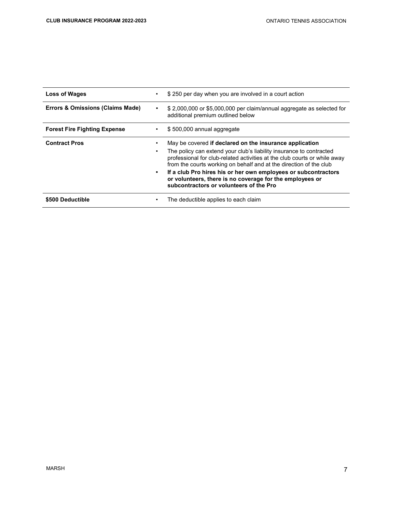| <b>Loss of Wages</b>                | \$250 per day when you are involved in a court action                                                                                                                                                                                                                                                                                                                                                                                                                   |
|-------------------------------------|-------------------------------------------------------------------------------------------------------------------------------------------------------------------------------------------------------------------------------------------------------------------------------------------------------------------------------------------------------------------------------------------------------------------------------------------------------------------------|
| Errors & Omissions (Claims Made)    | \$2,000,000 or \$5,000,000 per claim/annual aggregate as selected for<br>additional premium outlined below                                                                                                                                                                                                                                                                                                                                                              |
| <b>Forest Fire Fighting Expense</b> | \$500,000 annual aggregate                                                                                                                                                                                                                                                                                                                                                                                                                                              |
| <b>Contract Pros</b>                | May be covered if declared on the insurance application<br>The policy can extend your club's liability insurance to contracted<br>professional for club-related activities at the club courts or while away<br>from the courts working on behalf and at the direction of the club<br>If a club Pro hires his or her own employees or subcontractors<br>$\bullet$<br>or volunteers, there is no coverage for the employees or<br>subcontractors or volunteers of the Pro |
| \$500 Deductible                    | The deductible applies to each claim                                                                                                                                                                                                                                                                                                                                                                                                                                    |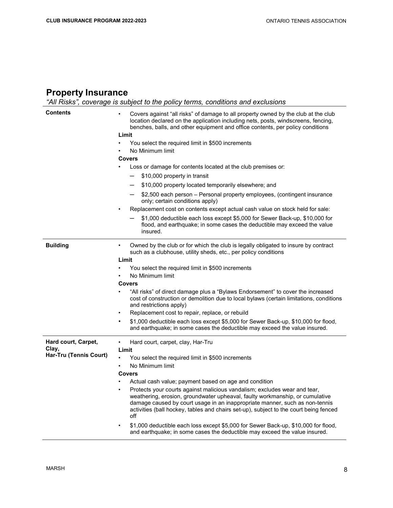#### Property Insurance

"All Risks", coverage is subject to the policy terms, conditions and exclusions

| <b>Contents</b>                 | Covers against "all risks" of damage to all property owned by the club at the club<br>location declared on the application including nets, posts, windscreens, fencing,<br>benches, balls, and other equipment and office contents, per policy conditions<br>Limit                                                                                                                                |  |  |  |  |  |  |  |
|---------------------------------|---------------------------------------------------------------------------------------------------------------------------------------------------------------------------------------------------------------------------------------------------------------------------------------------------------------------------------------------------------------------------------------------------|--|--|--|--|--|--|--|
|                                 | You select the required limit in \$500 increments<br>$\bullet$<br>No Minimum limit<br>٠                                                                                                                                                                                                                                                                                                           |  |  |  |  |  |  |  |
|                                 | <b>Covers</b>                                                                                                                                                                                                                                                                                                                                                                                     |  |  |  |  |  |  |  |
|                                 | Loss or damage for contents located at the club premises or:                                                                                                                                                                                                                                                                                                                                      |  |  |  |  |  |  |  |
|                                 | \$10,000 property in transit                                                                                                                                                                                                                                                                                                                                                                      |  |  |  |  |  |  |  |
|                                 | \$10,000 property located temporarily elsewhere; and<br>—                                                                                                                                                                                                                                                                                                                                         |  |  |  |  |  |  |  |
|                                 | \$2,500 each person – Personal property employees, (contingent insurance<br>only; certain conditions apply)                                                                                                                                                                                                                                                                                       |  |  |  |  |  |  |  |
|                                 | Replacement cost on contents except actual cash value on stock held for sale:<br>٠                                                                                                                                                                                                                                                                                                                |  |  |  |  |  |  |  |
|                                 | \$1,000 deductible each loss except \$5,000 for Sewer Back-up, \$10,000 for<br>flood, and earthquake; in some cases the deductible may exceed the value<br>insured.                                                                                                                                                                                                                               |  |  |  |  |  |  |  |
| <b>Building</b>                 | Owned by the club or for which the club is legally obligated to insure by contract<br>٠<br>such as a clubhouse, utility sheds, etc., per policy conditions                                                                                                                                                                                                                                        |  |  |  |  |  |  |  |
|                                 | Limit                                                                                                                                                                                                                                                                                                                                                                                             |  |  |  |  |  |  |  |
|                                 | You select the required limit in \$500 increments                                                                                                                                                                                                                                                                                                                                                 |  |  |  |  |  |  |  |
|                                 | No Minimum limit<br>٠                                                                                                                                                                                                                                                                                                                                                                             |  |  |  |  |  |  |  |
|                                 | Covers<br>"All risks" of direct damage plus a "Bylaws Endorsement" to cover the increased<br>cost of construction or demolition due to local bylaws (certain limitations, conditions                                                                                                                                                                                                              |  |  |  |  |  |  |  |
|                                 | and restrictions apply)<br>٠                                                                                                                                                                                                                                                                                                                                                                      |  |  |  |  |  |  |  |
|                                 | Replacement cost to repair, replace, or rebuild<br>$\bullet$<br>\$1,000 deductible each loss except \$5,000 for Sewer Back-up, \$10,000 for flood,<br>and earthquake; in some cases the deductible may exceed the value insured.                                                                                                                                                                  |  |  |  |  |  |  |  |
| Hard court, Carpet,             | Hard court, carpet, clay, Har-Tru<br>٠                                                                                                                                                                                                                                                                                                                                                            |  |  |  |  |  |  |  |
| Clay,<br>Har-Tru (Tennis Court) | Limit                                                                                                                                                                                                                                                                                                                                                                                             |  |  |  |  |  |  |  |
|                                 | You select the required limit in \$500 increments                                                                                                                                                                                                                                                                                                                                                 |  |  |  |  |  |  |  |
|                                 | No Minimum limit<br>$\bullet$                                                                                                                                                                                                                                                                                                                                                                     |  |  |  |  |  |  |  |
|                                 | <b>Covers</b><br>$\bullet$                                                                                                                                                                                                                                                                                                                                                                        |  |  |  |  |  |  |  |
|                                 | Actual cash value; payment based on age and condition<br>Protects your courts against malicious vandalism; excludes wear and tear,<br>weathering, erosion, groundwater upheaval, faulty workmanship, or cumulative<br>damage caused by court usage in an inappropriate manner, such as non-tennis<br>activities (ball hockey, tables and chairs set-up), subject to the court being fenced<br>off |  |  |  |  |  |  |  |
|                                 | \$1,000 deductible each loss except \$5,000 for Sewer Back-up, \$10,000 for flood,<br>٠<br>and earthquake; in some cases the deductible may exceed the value insured.                                                                                                                                                                                                                             |  |  |  |  |  |  |  |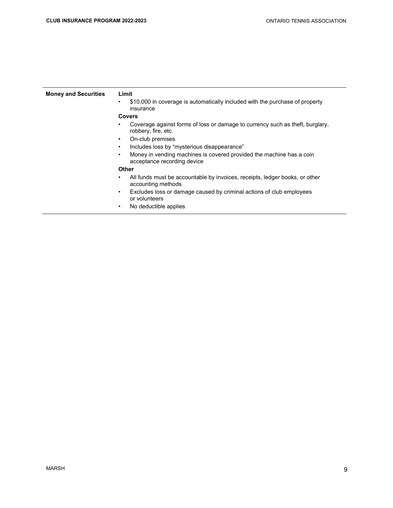| <b>Money and Securities</b> | Limit                                                                                                          |
|-----------------------------|----------------------------------------------------------------------------------------------------------------|
|                             | \$10,000 in coverage is automatically included with the purchase of property<br>$\bullet$<br>insurance         |
|                             | <b>Covers</b>                                                                                                  |
|                             | Coverage against forms of loss or damage to currency such as theft, burglary,<br>robbery, fire, etc.           |
|                             | On-club premises<br>$\bullet$                                                                                  |
|                             | Includes loss by "mysterious disappearance"<br>$\bullet$                                                       |
|                             | Money in vending machines is covered provided the machine has a coin<br>٠<br>acceptance recording device       |
|                             | Other                                                                                                          |
|                             | All funds must be accountable by invoices, receipts, ledger books, or other<br>$\bullet$<br>accounting methods |
|                             | Excludes loss or damage caused by criminal actions of club employees<br>$\bullet$<br>or volunteers             |
|                             | No deductible applies<br>٠                                                                                     |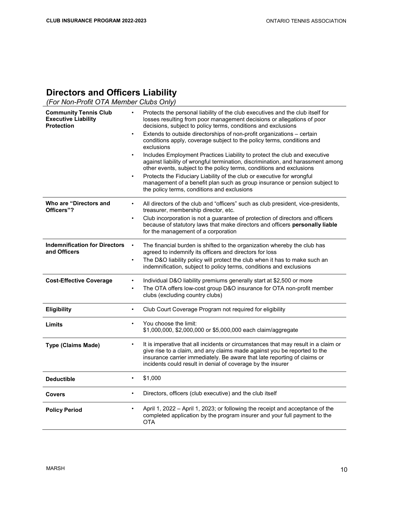#### Directors and Officers Liability

(For Non-Profit OTA Member Clubs Only)

| <b>Community Tennis Club</b><br><b>Executive Liability</b><br><b>Protection</b> | $\bullet$<br>$\bullet$<br>$\bullet$ | Protects the personal liability of the club executives and the club itself for<br>losses resulting from poor management decisions or allegations of poor<br>decisions, subject to policy terms, conditions and exclusions<br>Extends to outside directorships of non-profit organizations - certain<br>conditions apply, coverage subject to the policy terms, conditions and<br>exclusions<br>Includes Employment Practices Liability to protect the club and executive<br>against liability of wrongful termination, discrimination, and harassment among<br>other events, subject to the policy terms, conditions and exclusions<br>Protects the Fiduciary Liability of the club or executive for wrongful<br>management of a benefit plan such as group insurance or pension subject to<br>the policy terms, conditions and exclusions |
|---------------------------------------------------------------------------------|-------------------------------------|--------------------------------------------------------------------------------------------------------------------------------------------------------------------------------------------------------------------------------------------------------------------------------------------------------------------------------------------------------------------------------------------------------------------------------------------------------------------------------------------------------------------------------------------------------------------------------------------------------------------------------------------------------------------------------------------------------------------------------------------------------------------------------------------------------------------------------------------|
| Who are "Directors and<br>Officers"?                                            | $\bullet$                           | All directors of the club and "officers" such as club president, vice-presidents,<br>treasurer, membership director, etc.                                                                                                                                                                                                                                                                                                                                                                                                                                                                                                                                                                                                                                                                                                                  |
|                                                                                 | $\bullet$                           | Club incorporation is not a guarantee of protection of directors and officers<br>because of statutory laws that make directors and officers personally liable<br>for the management of a corporation                                                                                                                                                                                                                                                                                                                                                                                                                                                                                                                                                                                                                                       |
| <b>Indemnification for Directors</b><br>and Officers                            | $\bullet$                           | The financial burden is shifted to the organization whereby the club has<br>agreed to indemnify its officers and directors for loss                                                                                                                                                                                                                                                                                                                                                                                                                                                                                                                                                                                                                                                                                                        |
|                                                                                 | $\bullet$                           | The D&O liability policy will protect the club when it has to make such an<br>indemnification, subject to policy terms, conditions and exclusions                                                                                                                                                                                                                                                                                                                                                                                                                                                                                                                                                                                                                                                                                          |
| <b>Cost-Effective Coverage</b>                                                  | $\bullet$<br>$\bullet$              | Individual D&O liability premiums generally start at \$2,500 or more<br>The OTA offers low-cost group D&O insurance for OTA non-profit member                                                                                                                                                                                                                                                                                                                                                                                                                                                                                                                                                                                                                                                                                              |
|                                                                                 |                                     | clubs (excluding country clubs)                                                                                                                                                                                                                                                                                                                                                                                                                                                                                                                                                                                                                                                                                                                                                                                                            |
| Eligibility                                                                     | $\bullet$                           | Club Court Coverage Program not required for eligibility                                                                                                                                                                                                                                                                                                                                                                                                                                                                                                                                                                                                                                                                                                                                                                                   |
| Limits                                                                          | $\bullet$                           | You choose the limit:<br>\$1,000,000, \$2,000,000 or \$5,000,000 each claim/aggregate                                                                                                                                                                                                                                                                                                                                                                                                                                                                                                                                                                                                                                                                                                                                                      |
| <b>Type (Claims Made)</b>                                                       | $\bullet$                           | It is imperative that all incidents or circumstances that may result in a claim or<br>give rise to a claim, and any claims made against you be reported to the<br>insurance carrier immediately. Be aware that late reporting of claims or<br>incidents could result in denial of coverage by the insurer                                                                                                                                                                                                                                                                                                                                                                                                                                                                                                                                  |
| <b>Deductible</b>                                                               | $\bullet$                           | \$1,000                                                                                                                                                                                                                                                                                                                                                                                                                                                                                                                                                                                                                                                                                                                                                                                                                                    |
| <b>Covers</b>                                                                   | $\bullet$                           | Directors, officers (club executive) and the club itself                                                                                                                                                                                                                                                                                                                                                                                                                                                                                                                                                                                                                                                                                                                                                                                   |
| <b>Policy Period</b>                                                            |                                     | April 1, 2022 - April 1, 2023; or following the receipt and acceptance of the<br>completed application by the program insurer and your full payment to the<br>OTA                                                                                                                                                                                                                                                                                                                                                                                                                                                                                                                                                                                                                                                                          |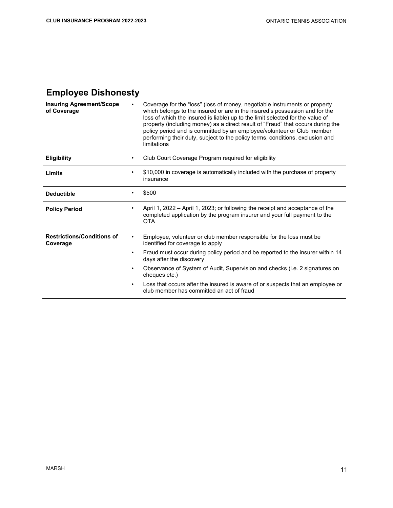### Employee Dishonesty

| <b>Insuring Agreement/Scope</b><br>of Coverage |           | Coverage for the "loss" (loss of money, negotiable instruments or property<br>which belongs to the insured or are in the insured's possession and for the<br>loss of which the insured is liable) up to the limit selected for the value of<br>property (including money) as a direct result of "Fraud" that occurs during the<br>policy period and is committed by an employee/volunteer or Club member<br>performing their duty, subject to the policy terms, conditions, exclusion and<br>limitations |
|------------------------------------------------|-----------|----------------------------------------------------------------------------------------------------------------------------------------------------------------------------------------------------------------------------------------------------------------------------------------------------------------------------------------------------------------------------------------------------------------------------------------------------------------------------------------------------------|
| <b>Eligibility</b>                             | ٠         | Club Court Coverage Program required for eligibility                                                                                                                                                                                                                                                                                                                                                                                                                                                     |
| Limits                                         | $\bullet$ | \$10,000 in coverage is automatically included with the purchase of property<br>insurance                                                                                                                                                                                                                                                                                                                                                                                                                |
| <b>Deductible</b>                              | $\bullet$ | \$500                                                                                                                                                                                                                                                                                                                                                                                                                                                                                                    |
| <b>Policy Period</b>                           | ٠         | April 1, 2022 - April 1, 2023; or following the receipt and acceptance of the<br>completed application by the program insurer and your full payment to the<br><b>OTA</b>                                                                                                                                                                                                                                                                                                                                 |
| <b>Restrictions/Conditions of</b><br>Coverage  | $\bullet$ | Employee, volunteer or club member responsible for the loss must be<br>identified for coverage to apply                                                                                                                                                                                                                                                                                                                                                                                                  |
|                                                | $\bullet$ | Fraud must occur during policy period and be reported to the insurer within 14<br>days after the discovery                                                                                                                                                                                                                                                                                                                                                                                               |
|                                                | $\bullet$ | Observance of System of Audit, Supervision and checks (i.e. 2 signatures on<br>cheques etc.)                                                                                                                                                                                                                                                                                                                                                                                                             |
|                                                | $\bullet$ | Loss that occurs after the insured is aware of or suspects that an employee or<br>club member has committed an act of fraud                                                                                                                                                                                                                                                                                                                                                                              |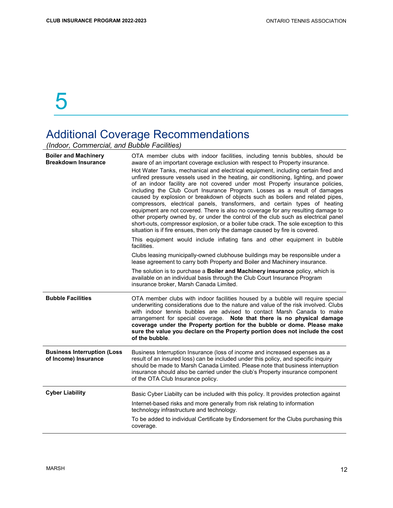### Additional Coverage Recommendations

(Indoor, Commercial, and Bubble Facilities)

| <b>Boiler and Machinery</b><br><b>Breakdown Insurance</b>  | OTA member clubs with indoor facilities, including tennis bubbles, should be<br>aware of an important coverage exclusion with respect to Property insurance.                                                                                                                                                                                                                                                                                                                                                                                                                                                                                                                                                                                                                                                                                             |
|------------------------------------------------------------|----------------------------------------------------------------------------------------------------------------------------------------------------------------------------------------------------------------------------------------------------------------------------------------------------------------------------------------------------------------------------------------------------------------------------------------------------------------------------------------------------------------------------------------------------------------------------------------------------------------------------------------------------------------------------------------------------------------------------------------------------------------------------------------------------------------------------------------------------------|
|                                                            | Hot Water Tanks, mechanical and electrical equipment, including certain fired and<br>unfired pressure vessels used in the heating, air conditioning, lighting, and power<br>of an indoor facility are not covered under most Property insurance policies,<br>including the Club Court Insurance Program. Losses as a result of damages<br>caused by explosion or breakdown of objects such as boilers and related pipes,<br>compressors, electrical panels, transformers, and certain types of heating<br>equipment are not covered. There is also no coverage for any resulting damage to<br>other property owned by, or under the control of the club such as electrical panel<br>short-outs, compressor explosion, or a boiler tube crack. The sole exception to this<br>situation is if fire ensues, then only the damage caused by fire is covered. |
|                                                            | This equipment would include inflating fans and other equipment in bubble<br>facilities.                                                                                                                                                                                                                                                                                                                                                                                                                                                                                                                                                                                                                                                                                                                                                                 |
|                                                            | Clubs leasing municipally-owned clubhouse buildings may be responsible under a<br>lease agreement to carry both Property and Boiler and Machinery insurance.                                                                                                                                                                                                                                                                                                                                                                                                                                                                                                                                                                                                                                                                                             |
|                                                            | The solution is to purchase a <b>Boiler and Machinery insurance</b> policy, which is<br>available on an individual basis through the Club Court Insurance Program<br>insurance broker, Marsh Canada Limited.                                                                                                                                                                                                                                                                                                                                                                                                                                                                                                                                                                                                                                             |
|                                                            |                                                                                                                                                                                                                                                                                                                                                                                                                                                                                                                                                                                                                                                                                                                                                                                                                                                          |
| <b>Bubble Facilities</b>                                   | OTA member clubs with indoor facilities housed by a bubble will require special<br>underwriting considerations due to the nature and value of the risk involved. Clubs<br>with indoor tennis bubbles are advised to contact Marsh Canada to make<br>arrangement for special coverage. Note that there is no physical damage<br>coverage under the Property portion for the bubble or dome. Please make<br>sure the value you declare on the Property portion does not include the cost<br>of the bubble.                                                                                                                                                                                                                                                                                                                                                 |
| <b>Business Interruption (Loss</b><br>of Income) Insurance | Business Interruption Insurance (loss of income and increased expenses as a<br>result of an insured loss) can be included under this policy, and specific inquiry<br>should be made to Marsh Canada Limited. Please note that business interruption<br>insurance should also be carried under the club's Property insurance component<br>of the OTA Club Insurance policy.                                                                                                                                                                                                                                                                                                                                                                                                                                                                               |
| <b>Cyber Liability</b>                                     | Basic Cyber Liabilty can be included with this policy. It provides protection against                                                                                                                                                                                                                                                                                                                                                                                                                                                                                                                                                                                                                                                                                                                                                                    |
|                                                            | Internet-based risks and more generally from risk relating to information<br>technology infrastructure and technology.                                                                                                                                                                                                                                                                                                                                                                                                                                                                                                                                                                                                                                                                                                                                   |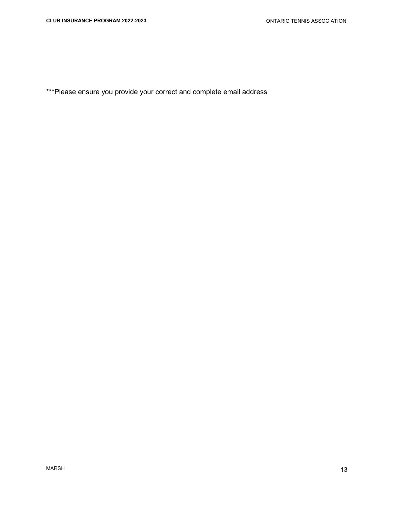\*\*\*Please ensure you provide your correct and complete email address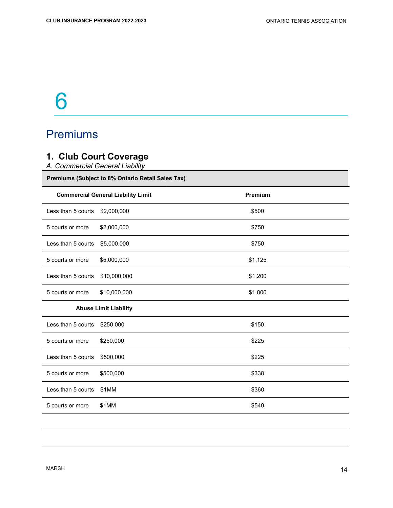## Premiums

### 1. Club Court Coverage

A. Commercial General Liability

Premiums (Subject to 8% Ontario Retail Sales Tax)

|                              | <b>Commercial General Liability Limit</b> | Premium |  |
|------------------------------|-------------------------------------------|---------|--|
| Less than 5 courts           | \$2,000,000                               | \$500   |  |
| 5 courts or more             | \$2,000,000                               | \$750   |  |
| Less than 5 courts           | \$5,000,000                               | \$750   |  |
| 5 courts or more             | \$5,000,000                               | \$1,125 |  |
| Less than 5 courts           | \$10,000,000                              | \$1,200 |  |
| 5 courts or more             | \$10,000,000                              | \$1,800 |  |
| <b>Abuse Limit Liability</b> |                                           |         |  |
| Less than 5 courts           | \$250,000                                 | \$150   |  |
| 5 courts or more             | \$250,000                                 | \$225   |  |
| Less than 5 courts           | \$500,000                                 | \$225   |  |
| 5 courts or more             | \$500,000                                 | \$338   |  |
| Less than 5 courts           | \$1MM                                     | \$360   |  |
| 5 courts or more             | \$1MM                                     | \$540   |  |
|                              |                                           |         |  |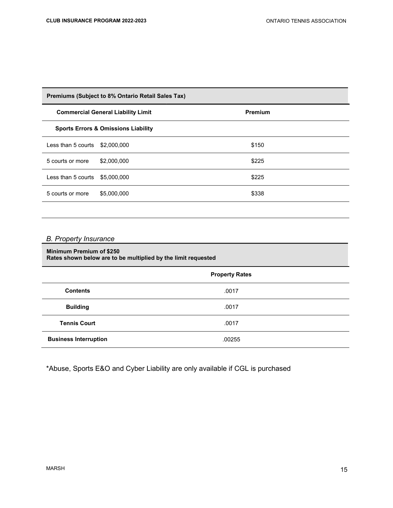| Premiums (Subject to 8% Ontario Retail Sales Tax) |                                           |         |  |
|---------------------------------------------------|-------------------------------------------|---------|--|
|                                                   | <b>Commercial General Liability Limit</b> | Premium |  |
| <b>Sports Errors &amp; Omissions Liability</b>    |                                           |         |  |
| Less than 5 courts $$2.000.000$                   |                                           | \$150   |  |
| 5 courts or more                                  | \$2,000,000                               | \$225   |  |
| Less than 5 courts $$5.000.000$                   |                                           | \$225   |  |
| 5 courts or more                                  | \$5,000,000                               | \$338   |  |
|                                                   |                                           |         |  |

#### B. Property Insurance

#### Minimum Premium of \$250 Rates shown below are to be multiplied by the limit requested

|                              | <b>Property Rates</b> |  |
|------------------------------|-----------------------|--|
| <b>Contents</b>              | .0017                 |  |
| <b>Building</b>              | .0017                 |  |
| <b>Tennis Court</b>          | .0017                 |  |
| <b>Business Interruption</b> | .00255                |  |

\*Abuse, Sports E&O and Cyber Liability are only available if CGL is purchased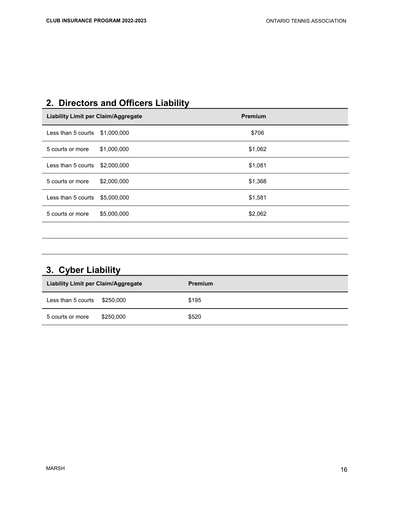## 2. Directors and Officers Liability

| <b>Liability Limit per Claim/Aggregate</b> |             | <b>Premium</b> |
|--------------------------------------------|-------------|----------------|
| Less than 5 courts $$1,000,000$            |             | \$706          |
| 5 courts or more                           | \$1,000,000 | \$1,062        |
| Less than 5 courts $$2,000,000$            |             | \$1,081        |
| 5 courts or more                           | \$2,000,000 | \$1,368        |
| Less than 5 courts $$5,000,000$            |             | \$1,581        |
| 5 courts or more                           | \$5,000,000 | \$2,062        |
|                                            |             |                |

| 3. Cyber Liability                         |           |         |  |  |
|--------------------------------------------|-----------|---------|--|--|
| <b>Liability Limit per Claim/Aggregate</b> |           | Premium |  |  |
| Less than 5 courts                         | \$250.000 | \$195   |  |  |
| 5 courts or more                           | \$250,000 | \$520   |  |  |